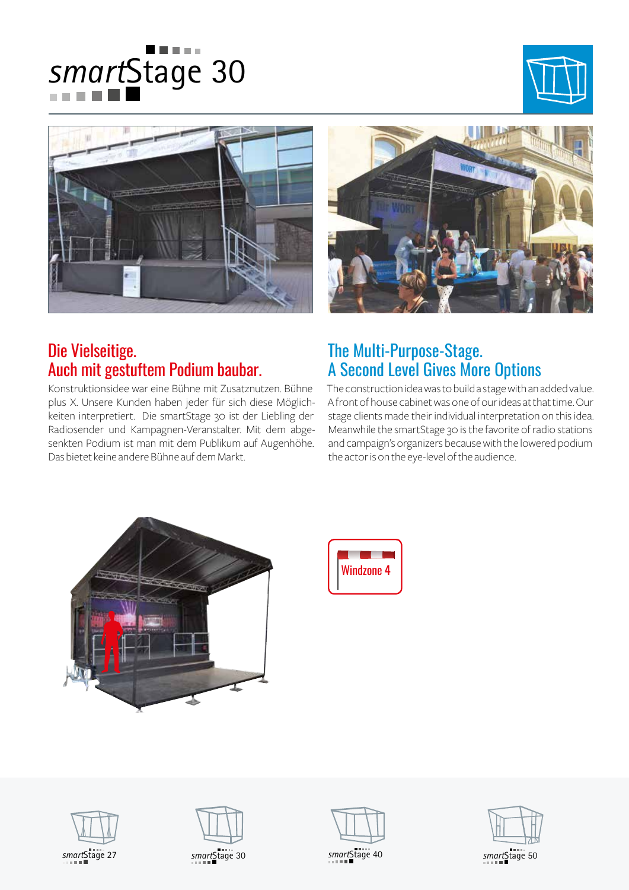







## Die Vielseitige. Auch mit gestuftem Podium baubar.

Konstruktionsidee war eine Bühne mit Zusatznutzen. Bühne plus X. Unsere Kunden haben jeder für sich diese Möglichkeiten interpretiert. Die smartStage 30 ist der Liebling der Radiosender und Kampagnen-Veranstalter. Mit dem abgesenkten Podium ist man mit dem Publikum auf Augenhöhe. Das bietet keine andere Bühne auf dem Markt.

## The Multi-Purpose-Stage. A Second Level Gives More Options

The construction idea was to build a stage with an added value. A front of house cabinet was one of our ideas at that time. Our stage clients made their individual interpretation on this idea. Meanwhile the smartStage 30 is the favorite of radio stations and campaign's organizers because with the lowered podium the actor is on the eye-level of the audience.